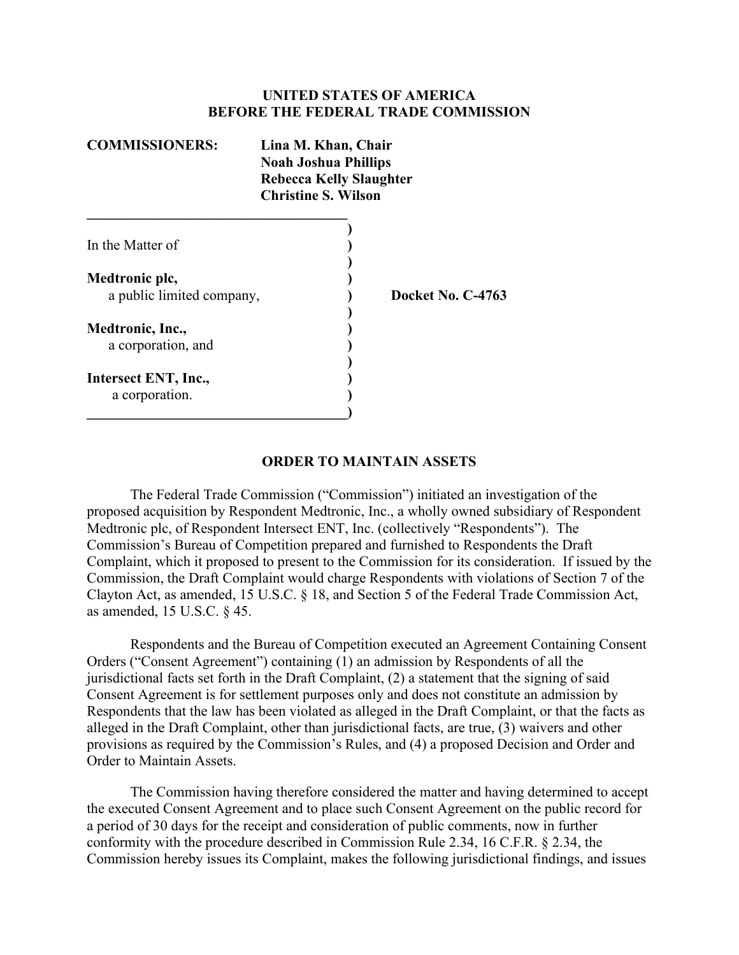#### **UNITED STATES OF AMERICA BEFORE THE FEDERAL TRADE COMMISSION**

| <b>COMMISSIONERS:</b>     | Lina M. Khan, Chair<br><b>Noah Joshua Phillips</b><br><b>Rebecca Kelly Slaughter</b><br><b>Christine S. Wilson</b> |
|---------------------------|--------------------------------------------------------------------------------------------------------------------|
| In the Matter of          |                                                                                                                    |
| Medtronic plc,            |                                                                                                                    |
| a public limited company, | <b>Docket No. C-4763</b>                                                                                           |
| Medtronic, Inc.,          |                                                                                                                    |
| a corporation, and        |                                                                                                                    |
| Intersect ENT, Inc.,      |                                                                                                                    |
| a corporation.            |                                                                                                                    |

#### **ORDER TO MAINTAIN ASSETS**

The Federal Trade Commission ("Commission") initiated an investigation of the proposed acquisition by Respondent Medtronic, Inc., a wholly owned subsidiary of Respondent Medtronic plc, of Respondent Intersect ENT, Inc. (collectively "Respondents"). The Commission's Bureau of Competition prepared and furnished to Respondents the Draft Complaint, which it proposed to present to the Commission for its consideration. If issued by the Commission, the Draft Complaint would charge Respondents with violations of Section 7 of the Clayton Act, as amended, 15 U.S.C. § 18, and Section 5 of the Federal Trade Commission Act, as amended, 15 U.S.C. § 45.

Respondents and the Bureau of Competition executed an Agreement Containing Consent Orders ("Consent Agreement") containing (1) an admission by Respondents of all the jurisdictional facts set forth in the Draft Complaint, (2) a statement that the signing of said Consent Agreement is for settlement purposes only and does not constitute an admission by Respondents that the law has been violated as alleged in the Draft Complaint, or that the facts as alleged in the Draft Complaint, other than jurisdictional facts, are true, (3) waivers and other provisions as required by the Commission's Rules, and (4) a proposed Decision and Order and Order to Maintain Assets.

The Commission having therefore considered the matter and having determined to accept the executed Consent Agreement and to place such Consent Agreement on the public record for a period of 30 days for the receipt and consideration of public comments, now in further conformity with the procedure described in Commission Rule 2.34, 16 C.F.R. § 2.34, the Commission hereby issues its Complaint, makes the following jurisdictional findings, and issues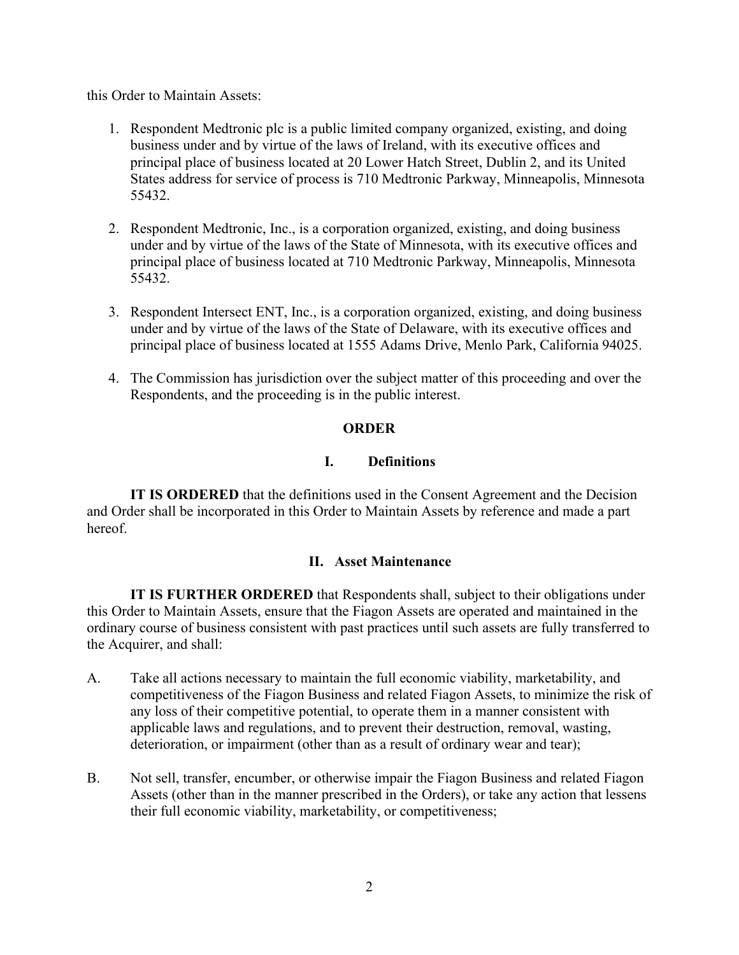this Order to Maintain Assets:

- 1. Respondent Medtronic plc is a public limited company organized, existing, and doing business under and by virtue of the laws of Ireland, with its executive offices and principal place of business located at 20 Lower Hatch Street, Dublin 2, and its United States address for service of process is 710 Medtronic Parkway, Minneapolis, Minnesota 55432.
- 2. Respondent Medtronic, Inc., is a corporation organized, existing, and doing business under and by virtue of the laws of the State of Minnesota, with its executive offices and principal place of business located at 710 Medtronic Parkway, Minneapolis, Minnesota 55432.
- 3. Respondent Intersect ENT, Inc., is a corporation organized, existing, and doing business under and by virtue of the laws of the State of Delaware, with its executive offices and principal place of business located at 1555 Adams Drive, Menlo Park, California 94025.
- 4. The Commission has jurisdiction over the subject matter of this proceeding and over the Respondents, and the proceeding is in the public interest.

### **ORDER**

### **I. Definitions**

**IT IS ORDERED** that the definitions used in the Consent Agreement and the Decision and Order shall be incorporated in this Order to Maintain Assets by reference and made a part hereof.

#### **II. Asset Maintenance**

**IT IS FURTHER ORDERED** that Respondents shall, subject to their obligations under this Order to Maintain Assets, ensure that the Fiagon Assets are operated and maintained in the ordinary course of business consistent with past practices until such assets are fully transferred to the Acquirer, and shall:

- A. Take all actions necessary to maintain the full economic viability, marketability, and competitiveness of the Fiagon Business and related Fiagon Assets, to minimize the risk of any loss of their competitive potential, to operate them in a manner consistent with applicable laws and regulations, and to prevent their destruction, removal, wasting, deterioration, or impairment (other than as a result of ordinary wear and tear);
- B. Not sell, transfer, encumber, or otherwise impair the Fiagon Business and related Fiagon Assets (other than in the manner prescribed in the Orders), or take any action that lessens their full economic viability, marketability, or competitiveness;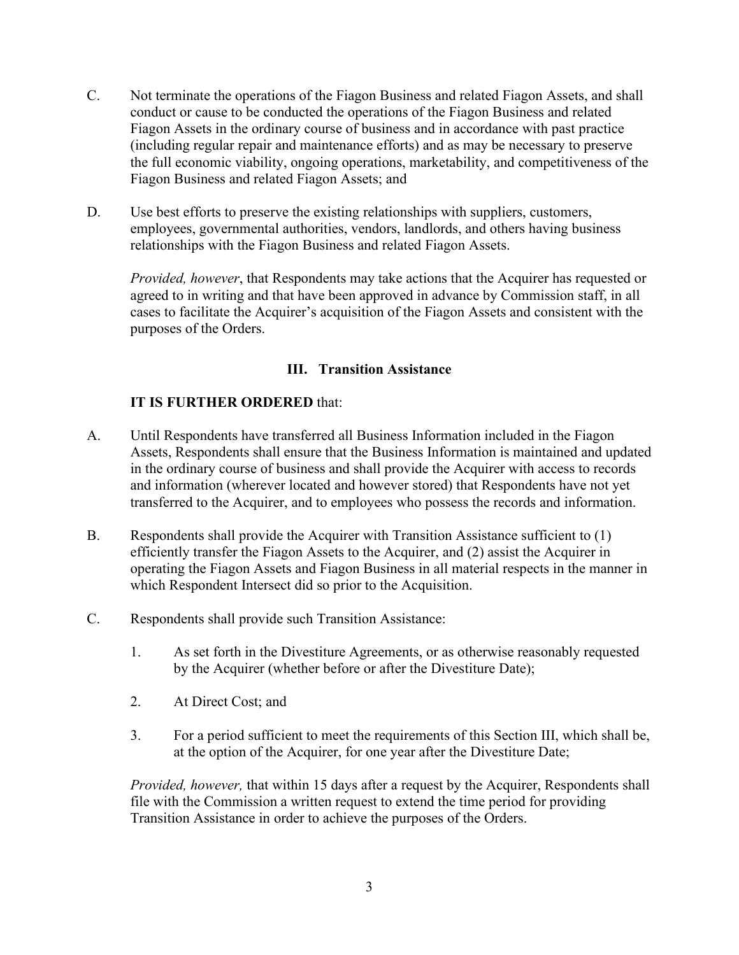- C. Not terminate the operations of the Fiagon Business and related Fiagon Assets, and shall conduct or cause to be conducted the operations of the Fiagon Business and related Fiagon Assets in the ordinary course of business and in accordance with past practice (including regular repair and maintenance efforts) and as may be necessary to preserve the full economic viability, ongoing operations, marketability, and competitiveness of the Fiagon Business and related Fiagon Assets; and
- D. Use best efforts to preserve the existing relationships with suppliers, customers, employees, governmental authorities, vendors, landlords, and others having business relationships with the Fiagon Business and related Fiagon Assets.

*Provided, however*, that Respondents may take actions that the Acquirer has requested or agreed to in writing and that have been approved in advance by Commission staff, in all cases to facilitate the Acquirer's acquisition of the Fiagon Assets and consistent with the purposes of the Orders.

## **III. Transition Assistance**

## **IT IS FURTHER ORDERED** that:

- A. Until Respondents have transferred all Business Information included in the Fiagon Assets, Respondents shall ensure that the Business Information is maintained and updated in the ordinary course of business and shall provide the Acquirer with access to records and information (wherever located and however stored) that Respondents have not yet transferred to the Acquirer, and to employees who possess the records and information.
- B. Respondents shall provide the Acquirer with Transition Assistance sufficient to (1) efficiently transfer the Fiagon Assets to the Acquirer, and (2) assist the Acquirer in operating the Fiagon Assets and Fiagon Business in all material respects in the manner in which Respondent Intersect did so prior to the Acquisition.
- C. Respondents shall provide such Transition Assistance:
	- 1. As set forth in the Divestiture Agreements, or as otherwise reasonably requested by the Acquirer (whether before or after the Divestiture Date);
	- 2. At Direct Cost; and
	- 3. For a period sufficient to meet the requirements of this Section III, which shall be, at the option of the Acquirer, for one year after the Divestiture Date;

*Provided, however,* that within 15 days after a request by the Acquirer, Respondents shall file with the Commission a written request to extend the time period for providing Transition Assistance in order to achieve the purposes of the Orders.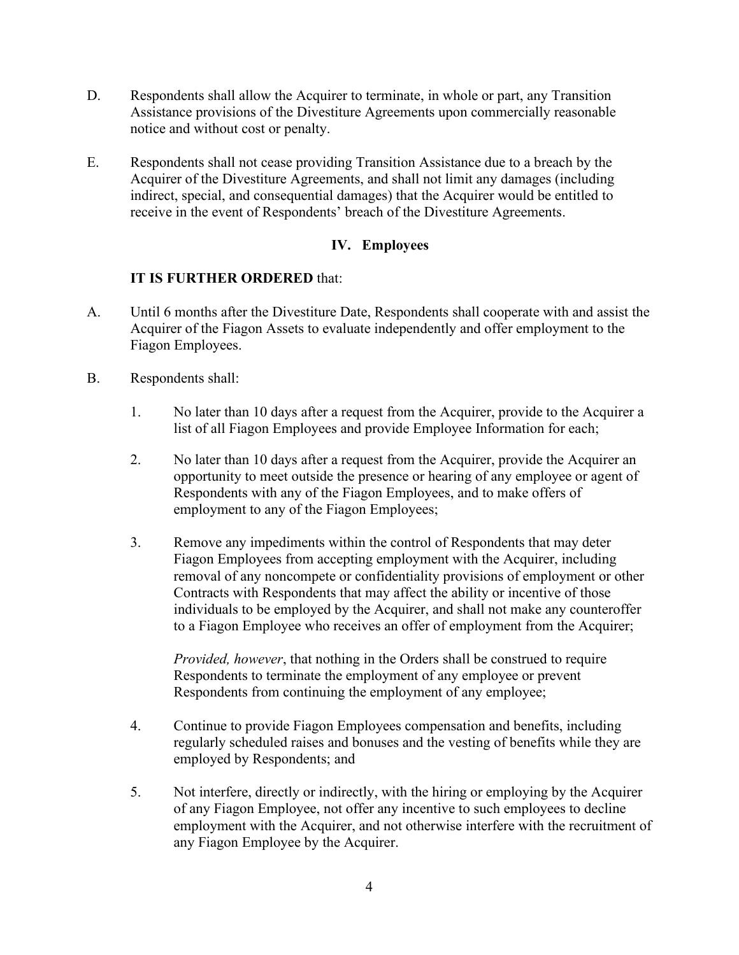- D. Respondents shall allow the Acquirer to terminate, in whole or part, any Transition Assistance provisions of the Divestiture Agreements upon commercially reasonable notice and without cost or penalty.
- E. Respondents shall not cease providing Transition Assistance due to a breach by the Acquirer of the Divestiture Agreements, and shall not limit any damages (including indirect, special, and consequential damages) that the Acquirer would be entitled to receive in the event of Respondents' breach of the Divestiture Agreements.

# **IV. Employees**

## **IT IS FURTHER ORDERED** that:

- A. Until 6 months after the Divestiture Date, Respondents shall cooperate with and assist the Acquirer of the Fiagon Assets to evaluate independently and offer employment to the Fiagon Employees.
- B. Respondents shall:
	- 1. No later than 10 days after a request from the Acquirer, provide to the Acquirer a list of all Fiagon Employees and provide Employee Information for each;
	- 2. No later than 10 days after a request from the Acquirer, provide the Acquirer an opportunity to meet outside the presence or hearing of any employee or agent of Respondents with any of the Fiagon Employees, and to make offers of employment to any of the Fiagon Employees;
	- 3. Remove any impediments within the control of Respondents that may deter Fiagon Employees from accepting employment with the Acquirer, including removal of any noncompete or confidentiality provisions of employment or other Contracts with Respondents that may affect the ability or incentive of those individuals to be employed by the Acquirer, and shall not make any counteroffer to a Fiagon Employee who receives an offer of employment from the Acquirer;

*Provided, however*, that nothing in the Orders shall be construed to require Respondents to terminate the employment of any employee or prevent Respondents from continuing the employment of any employee;

- 4. Continue to provide Fiagon Employees compensation and benefits, including regularly scheduled raises and bonuses and the vesting of benefits while they are employed by Respondents; and
- 5. Not interfere, directly or indirectly, with the hiring or employing by the Acquirer of any Fiagon Employee, not offer any incentive to such employees to decline employment with the Acquirer, and not otherwise interfere with the recruitment of any Fiagon Employee by the Acquirer.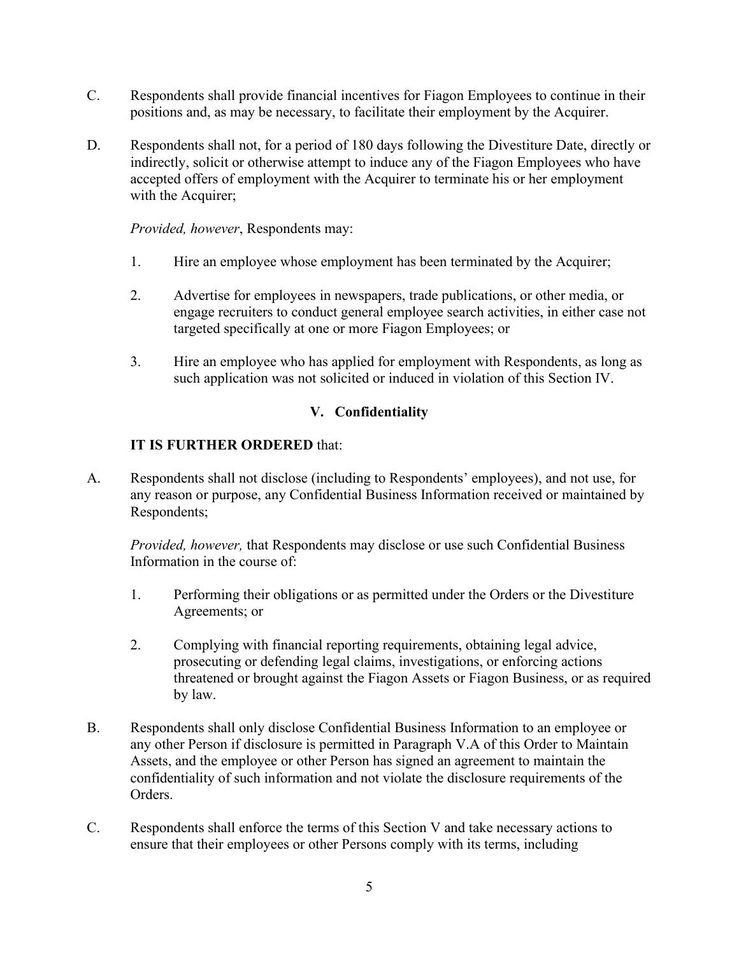- C. Respondents shall provide financial incentives for Fiagon Employees to continue in their positions and, as may be necessary, to facilitate their employment by the Acquirer.
- D. Respondents shall not, for a period of 180 days following the Divestiture Date, directly or indirectly, solicit or otherwise attempt to induce any of the Fiagon Employees who have accepted offers of employment with the Acquirer to terminate his or her employment with the Acquirer;

*Provided, however*, Respondents may:

- 1. Hire an employee whose employment has been terminated by the Acquirer;
- 2. Advertise for employees in newspapers, trade publications, or other media, or engage recruiters to conduct general employee search activities, in either case not targeted specifically at one or more Fiagon Employees; or
- 3. Hire an employee who has applied for employment with Respondents, as long as such application was not solicited or induced in violation of this Section IV.

# **V. Confidentiality**

## **IT IS FURTHER ORDERED** that:

A. Respondents shall not disclose (including to Respondents' employees), and not use, for any reason or purpose, any Confidential Business Information received or maintained by Respondents;

*Provided, however,* that Respondents may disclose or use such Confidential Business Information in the course of:

- 1. Performing their obligations or as permitted under the Orders or the Divestiture Agreements; or
- 2. Complying with financial reporting requirements, obtaining legal advice, prosecuting or defending legal claims, investigations, or enforcing actions threatened or brought against the Fiagon Assets or Fiagon Business, or as required by law.
- B. Respondents shall only disclose Confidential Business Information to an employee or any other Person if disclosure is permitted in Paragraph V.A of this Order to Maintain Assets, and the employee or other Person has signed an agreement to maintain the confidentiality of such information and not violate the disclosure requirements of the Orders.
- C. Respondents shall enforce the terms of this Section V and take necessary actions to ensure that their employees or other Persons comply with its terms, including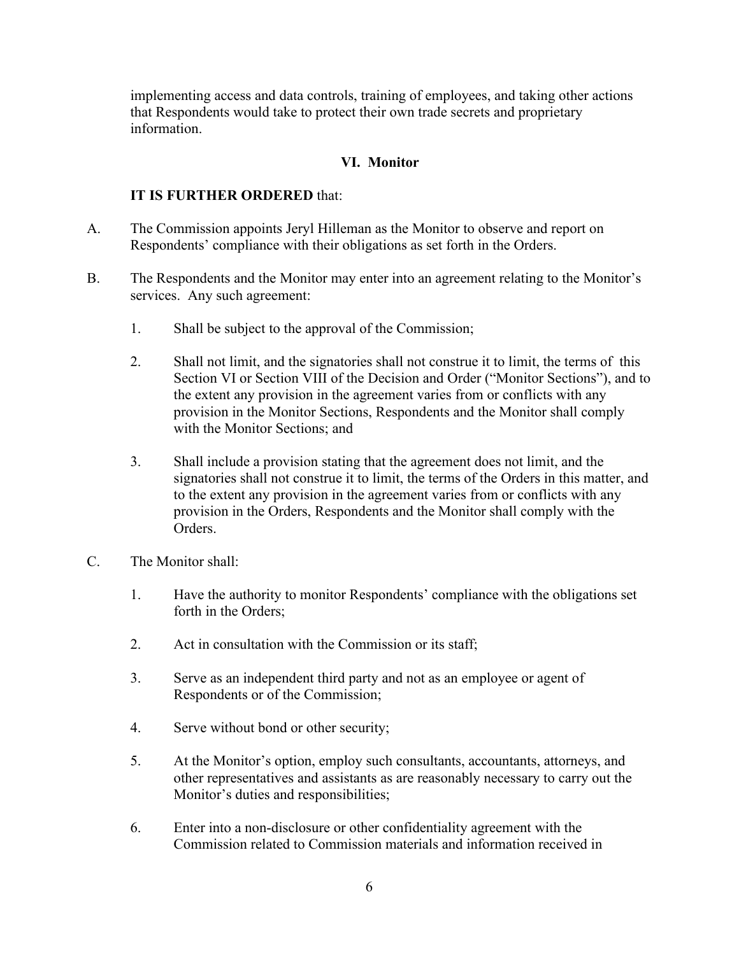implementing access and data controls, training of employees, and taking other actions that Respondents would take to protect their own trade secrets and proprietary information.

#### **VI. Monitor**

### **IT IS FURTHER ORDERED** that:

- A. The Commission appoints Jeryl Hilleman as the Monitor to observe and report on Respondents' compliance with their obligations as set forth in the Orders.
- B. The Respondents and the Monitor may enter into an agreement relating to the Monitor's services. Any such agreement:
	- 1. Shall be subject to the approval of the Commission;
	- 2. Shall not limit, and the signatories shall not construe it to limit, the terms of this Section VI or Section VIII of the Decision and Order ("Monitor Sections"), and to the extent any provision in the agreement varies from or conflicts with any provision in the Monitor Sections, Respondents and the Monitor shall comply with the Monitor Sections; and
	- 3. Shall include a provision stating that the agreement does not limit, and the signatories shall not construe it to limit, the terms of the Orders in this matter, and to the extent any provision in the agreement varies from or conflicts with any provision in the Orders, Respondents and the Monitor shall comply with the Orders.
- C. The Monitor shall:
	- 1. Have the authority to monitor Respondents' compliance with the obligations set forth in the Orders;
	- 2. Act in consultation with the Commission or its staff;
	- 3. Serve as an independent third party and not as an employee or agent of Respondents or of the Commission;
	- 4. Serve without bond or other security;
	- 5. At the Monitor's option, employ such consultants, accountants, attorneys, and other representatives and assistants as are reasonably necessary to carry out the Monitor's duties and responsibilities;
	- 6. Enter into a non-disclosure or other confidentiality agreement with the Commission related to Commission materials and information received in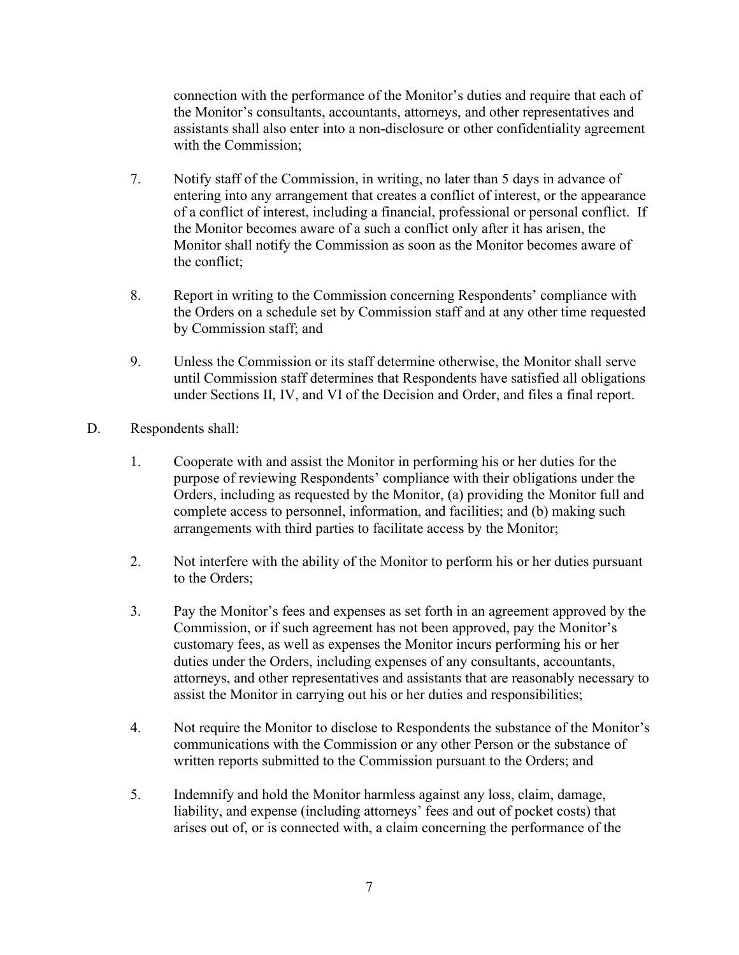connection with the performance of the Monitor's duties and require that each of the Monitor's consultants, accountants, attorneys, and other representatives and assistants shall also enter into a non-disclosure or other confidentiality agreement with the Commission;

- 7. Notify staff of the Commission, in writing, no later than 5 days in advance of entering into any arrangement that creates a conflict of interest, or the appearance of a conflict of interest, including a financial, professional or personal conflict. If the Monitor becomes aware of a such a conflict only after it has arisen, the Monitor shall notify the Commission as soon as the Monitor becomes aware of the conflict;
- 8. Report in writing to the Commission concerning Respondents' compliance with the Orders on a schedule set by Commission staff and at any other time requested by Commission staff; and
- 9. Unless the Commission or its staff determine otherwise, the Monitor shall serve until Commission staff determines that Respondents have satisfied all obligations under Sections II, IV, and VI of the Decision and Order, and files a final report.
- D. Respondents shall:
	- 1. Cooperate with and assist the Monitor in performing his or her duties for the purpose of reviewing Respondents' compliance with their obligations under the Orders, including as requested by the Monitor, (a) providing the Monitor full and complete access to personnel, information, and facilities; and (b) making such arrangements with third parties to facilitate access by the Monitor;
	- 2. Not interfere with the ability of the Monitor to perform his or her duties pursuant to the Orders;
	- 3. Pay the Monitor's fees and expenses as set forth in an agreement approved by the Commission, or if such agreement has not been approved, pay the Monitor's customary fees, as well as expenses the Monitor incurs performing his or her duties under the Orders, including expenses of any consultants, accountants, attorneys, and other representatives and assistants that are reasonably necessary to assist the Monitor in carrying out his or her duties and responsibilities;
	- 4. Not require the Monitor to disclose to Respondents the substance of the Monitor's communications with the Commission or any other Person or the substance of written reports submitted to the Commission pursuant to the Orders; and
	- 5. Indemnify and hold the Monitor harmless against any loss, claim, damage, liability, and expense (including attorneys' fees and out of pocket costs) that arises out of, or is connected with, a claim concerning the performance of the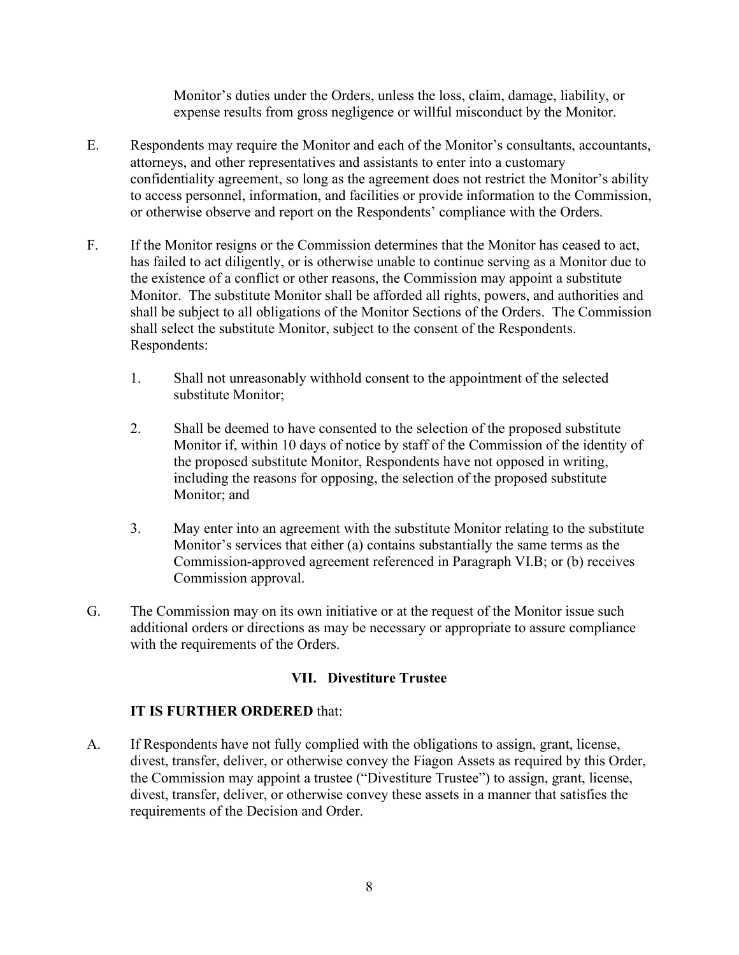Monitor's duties under the Orders, unless the loss, claim, damage, liability, or expense results from gross negligence or willful misconduct by the Monitor.

- E. Respondents may require the Monitor and each of the Monitor's consultants, accountants, attorneys, and other representatives and assistants to enter into a customary confidentiality agreement, so long as the agreement does not restrict the Monitor's ability to access personnel, information, and facilities or provide information to the Commission, or otherwise observe and report on the Respondents' compliance with the Orders.
- F. If the Monitor resigns or the Commission determines that the Monitor has ceased to act, has failed to act diligently, or is otherwise unable to continue serving as a Monitor due to the existence of a conflict or other reasons, the Commission may appoint a substitute Monitor. The substitute Monitor shall be afforded all rights, powers, and authorities and shall be subject to all obligations of the Monitor Sections of the Orders. The Commission shall select the substitute Monitor, subject to the consent of the Respondents. Respondents:
	- 1. Shall not unreasonably withhold consent to the appointment of the selected substitute Monitor;
	- 2. Shall be deemed to have consented to the selection of the proposed substitute Monitor if, within 10 days of notice by staff of the Commission of the identity of the proposed substitute Monitor, Respondents have not opposed in writing, including the reasons for opposing, the selection of the proposed substitute Monitor; and
	- 3. May enter into an agreement with the substitute Monitor relating to the substitute Monitor's services that either (a) contains substantially the same terms as the Commission-approved agreement referenced in Paragraph VI.B; or (b) receives Commission approval.
- G. The Commission may on its own initiative or at the request of the Monitor issue such additional orders or directions as may be necessary or appropriate to assure compliance with the requirements of the Orders.

## **VII. Divestiture Trustee**

#### **IT IS FURTHER ORDERED** that:

A. If Respondents have not fully complied with the obligations to assign, grant, license, divest, transfer, deliver, or otherwise convey the Fiagon Assets as required by this Order, the Commission may appoint a trustee ("Divestiture Trustee") to assign, grant, license, divest, transfer, deliver, or otherwise convey these assets in a manner that satisfies the requirements of the Decision and Order.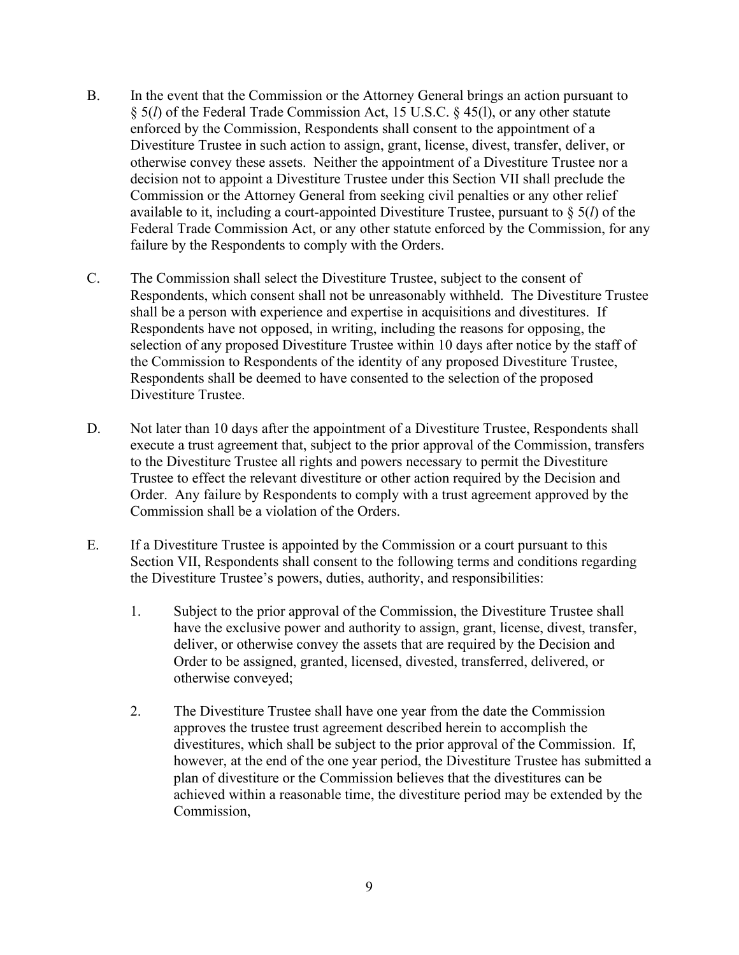- B. In the event that the Commission or the Attorney General brings an action pursuant to § 5(*l*) of the Federal Trade Commission Act, 15 U.S.C. § 45(l), or any other statute enforced by the Commission, Respondents shall consent to the appointment of a Divestiture Trustee in such action to assign, grant, license, divest, transfer, deliver, or otherwise convey these assets. Neither the appointment of a Divestiture Trustee nor a decision not to appoint a Divestiture Trustee under this Section VII shall preclude the Commission or the Attorney General from seeking civil penalties or any other relief available to it, including a court-appointed Divestiture Trustee, pursuant to § 5(*l*) of the Federal Trade Commission Act, or any other statute enforced by the Commission, for any failure by the Respondents to comply with the Orders.
- C. The Commission shall select the Divestiture Trustee, subject to the consent of Respondents, which consent shall not be unreasonably withheld. The Divestiture Trustee shall be a person with experience and expertise in acquisitions and divestitures. If Respondents have not opposed, in writing, including the reasons for opposing, the selection of any proposed Divestiture Trustee within 10 days after notice by the staff of the Commission to Respondents of the identity of any proposed Divestiture Trustee, Respondents shall be deemed to have consented to the selection of the proposed Divestiture Trustee.
- D. Not later than 10 days after the appointment of a Divestiture Trustee, Respondents shall execute a trust agreement that, subject to the prior approval of the Commission, transfers to the Divestiture Trustee all rights and powers necessary to permit the Divestiture Trustee to effect the relevant divestiture or other action required by the Decision and Order. Any failure by Respondents to comply with a trust agreement approved by the Commission shall be a violation of the Orders.
- E. If a Divestiture Trustee is appointed by the Commission or a court pursuant to this Section VII, Respondents shall consent to the following terms and conditions regarding the Divestiture Trustee's powers, duties, authority, and responsibilities:
	- 1. Subject to the prior approval of the Commission, the Divestiture Trustee shall have the exclusive power and authority to assign, grant, license, divest, transfer, deliver, or otherwise convey the assets that are required by the Decision and Order to be assigned, granted, licensed, divested, transferred, delivered, or otherwise conveyed;
	- 2. The Divestiture Trustee shall have one year from the date the Commission approves the trustee trust agreement described herein to accomplish the divestitures, which shall be subject to the prior approval of the Commission. If, however, at the end of the one year period, the Divestiture Trustee has submitted a plan of divestiture or the Commission believes that the divestitures can be achieved within a reasonable time, the divestiture period may be extended by the Commission,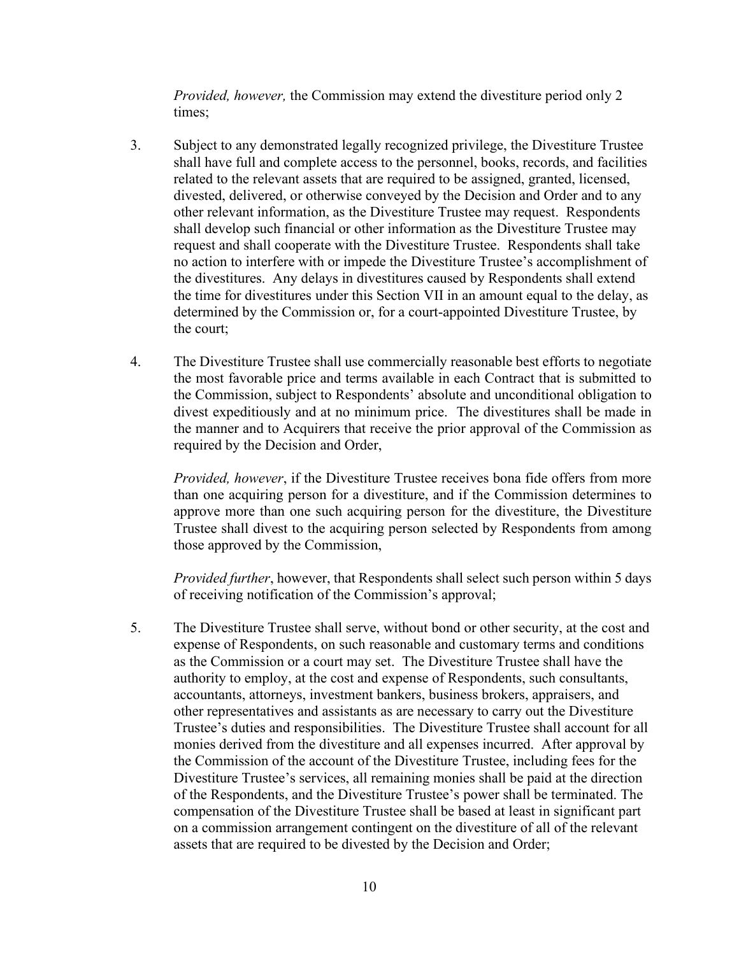*Provided, however,* the Commission may extend the divestiture period only 2 times;

- 3. Subject to any demonstrated legally recognized privilege, the Divestiture Trustee shall have full and complete access to the personnel, books, records, and facilities related to the relevant assets that are required to be assigned, granted, licensed, divested, delivered, or otherwise conveyed by the Decision and Order and to any other relevant information, as the Divestiture Trustee may request. Respondents shall develop such financial or other information as the Divestiture Trustee may request and shall cooperate with the Divestiture Trustee. Respondents shall take no action to interfere with or impede the Divestiture Trustee's accomplishment of the divestitures. Any delays in divestitures caused by Respondents shall extend the time for divestitures under this Section VII in an amount equal to the delay, as determined by the Commission or, for a court-appointed Divestiture Trustee, by the court;
- 4. The Divestiture Trustee shall use commercially reasonable best efforts to negotiate the most favorable price and terms available in each Contract that is submitted to the Commission, subject to Respondents' absolute and unconditional obligation to divest expeditiously and at no minimum price. The divestitures shall be made in the manner and to Acquirers that receive the prior approval of the Commission as required by the Decision and Order,

*Provided, however*, if the Divestiture Trustee receives bona fide offers from more than one acquiring person for a divestiture, and if the Commission determines to approve more than one such acquiring person for the divestiture, the Divestiture Trustee shall divest to the acquiring person selected by Respondents from among those approved by the Commission,

*Provided further*, however, that Respondents shall select such person within 5 days of receiving notification of the Commission's approval;

5. The Divestiture Trustee shall serve, without bond or other security, at the cost and expense of Respondents, on such reasonable and customary terms and conditions as the Commission or a court may set. The Divestiture Trustee shall have the authority to employ, at the cost and expense of Respondents, such consultants, accountants, attorneys, investment bankers, business brokers, appraisers, and other representatives and assistants as are necessary to carry out the Divestiture Trustee's duties and responsibilities. The Divestiture Trustee shall account for all monies derived from the divestiture and all expenses incurred. After approval by the Commission of the account of the Divestiture Trustee, including fees for the Divestiture Trustee's services, all remaining monies shall be paid at the direction of the Respondents, and the Divestiture Trustee's power shall be terminated. The compensation of the Divestiture Trustee shall be based at least in significant part on a commission arrangement contingent on the divestiture of all of the relevant assets that are required to be divested by the Decision and Order;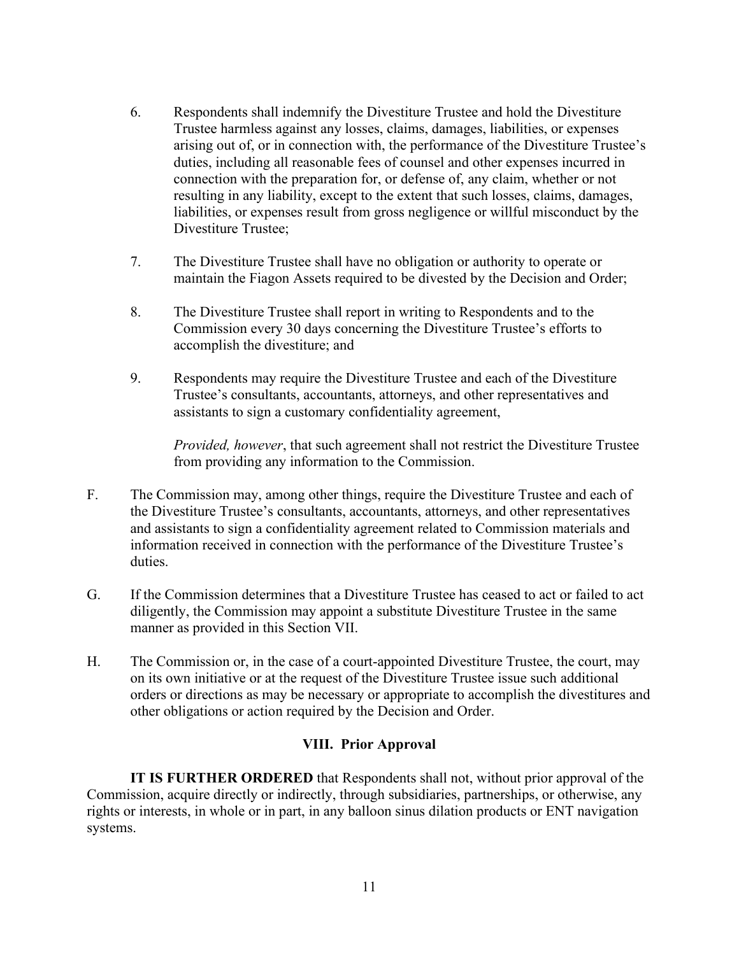- 6. Respondents shall indemnify the Divestiture Trustee and hold the Divestiture Trustee harmless against any losses, claims, damages, liabilities, or expenses arising out of, or in connection with, the performance of the Divestiture Trustee's duties, including all reasonable fees of counsel and other expenses incurred in connection with the preparation for, or defense of, any claim, whether or not resulting in any liability, except to the extent that such losses, claims, damages, liabilities, or expenses result from gross negligence or willful misconduct by the Divestiture Trustee;
- 7. The Divestiture Trustee shall have no obligation or authority to operate or maintain the Fiagon Assets required to be divested by the Decision and Order;
- 8. The Divestiture Trustee shall report in writing to Respondents and to the Commission every 30 days concerning the Divestiture Trustee's efforts to accomplish the divestiture; and
- 9. Respondents may require the Divestiture Trustee and each of the Divestiture Trustee's consultants, accountants, attorneys, and other representatives and assistants to sign a customary confidentiality agreement,

*Provided, however*, that such agreement shall not restrict the Divestiture Trustee from providing any information to the Commission.

- F. The Commission may, among other things, require the Divestiture Trustee and each of the Divestiture Trustee's consultants, accountants, attorneys, and other representatives and assistants to sign a confidentiality agreement related to Commission materials and information received in connection with the performance of the Divestiture Trustee's duties.
- G. If the Commission determines that a Divestiture Trustee has ceased to act or failed to act diligently, the Commission may appoint a substitute Divestiture Trustee in the same manner as provided in this Section VII.
- H. The Commission or, in the case of a court-appointed Divestiture Trustee, the court, may on its own initiative or at the request of the Divestiture Trustee issue such additional orders or directions as may be necessary or appropriate to accomplish the divestitures and other obligations or action required by the Decision and Order.

## **VIII. Prior Approval**

**IT IS FURTHER ORDERED** that Respondents shall not, without prior approval of the Commission, acquire directly or indirectly, through subsidiaries, partnerships, or otherwise, any rights or interests, in whole or in part, in any balloon sinus dilation products or ENT navigation systems.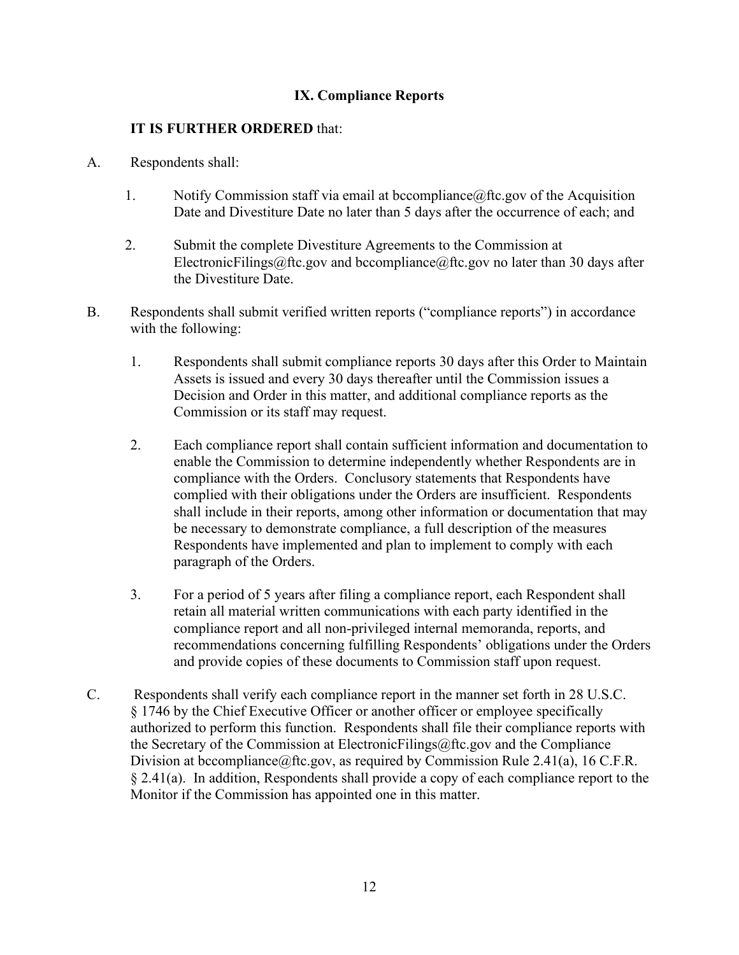# **IX. Compliance Reports**

## **IT IS FURTHER ORDERED** that:

- A. Respondents shall:
	- 1. Notify Commission staff via email at bccompliance  $@$  fitc.gov of the Acquisition Date and Divestiture Date no later than 5 days after the occurrence of each; and
	- 2. Submit the complete Divestiture Agreements to the Commission at ElectronicFilings@ftc.gov and bccompliance@ftc.gov no later than 30 days after the Divestiture Date.
- B. Respondents shall submit verified written reports ("compliance reports") in accordance with the following:
	- 1. Respondents shall submit compliance reports 30 days after this Order to Maintain Assets is issued and every 30 days thereafter until the Commission issues a Decision and Order in this matter, and additional compliance reports as the Commission or its staff may request.
	- 2. Each compliance report shall contain sufficient information and documentation to enable the Commission to determine independently whether Respondents are in compliance with the Orders. Conclusory statements that Respondents have complied with their obligations under the Orders are insufficient. Respondents shall include in their reports, among other information or documentation that may be necessary to demonstrate compliance, a full description of the measures Respondents have implemented and plan to implement to comply with each paragraph of the Orders.
	- 3. For a period of 5 years after filing a compliance report, each Respondent shall retain all material written communications with each party identified in the compliance report and all non-privileged internal memoranda, reports, and recommendations concerning fulfilling Respondents' obligations under the Orders and provide copies of these documents to Commission staff upon request.
- C. Respondents shall verify each compliance report in the manner set forth in 28 U.S.C. § 1746 by the Chief Executive Officer or another officer or employee specifically authorized to perform this function. Respondents shall file their compliance reports with the Secretary of the Commission at ElectronicFilings@ftc.gov and the Compliance Division at becompliance@ftc.gov, as required by Commission Rule 2.41(a), 16 C.F.R. § 2.41(a). In addition, Respondents shall provide a copy of each compliance report to the Monitor if the Commission has appointed one in this matter.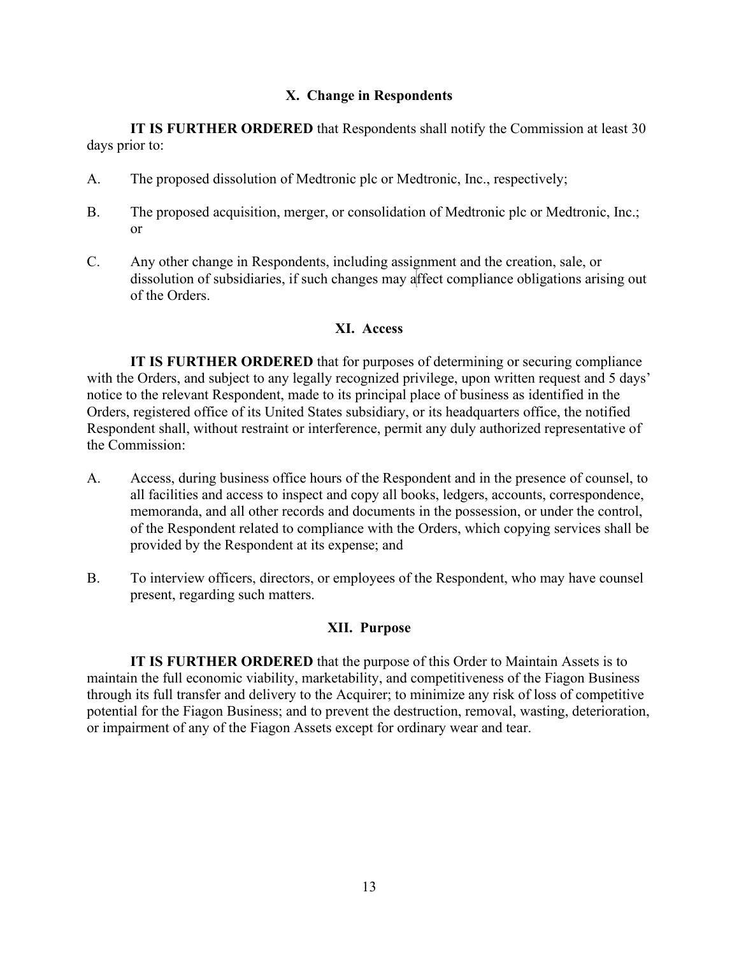### **X. Change in Respondents**

**IT IS FURTHER ORDERED** that Respondents shall notify the Commission at least 30 days prior to:

- A. The proposed dissolution of Medtronic plc or Medtronic, Inc., respectively;
- B. The proposed acquisition, merger, or consolidation of Medtronic plc or Medtronic, Inc.; or
- C. Any other change in Respondents, including assignment and the creation, sale, or dissolution of subsidiaries, if such changes may affect compliance obligations arising out of the Orders.

# **XI. Access**

**IT IS FURTHER ORDERED** that for purposes of determining or securing compliance with the Orders, and subject to any legally recognized privilege, upon written request and 5 days' notice to the relevant Respondent, made to its principal place of business as identified in the Orders, registered office of its United States subsidiary, or its headquarters office, the notified Respondent shall, without restraint or interference, permit any duly authorized representative of the Commission:

- A. Access, during business office hours of the Respondent and in the presence of counsel, to all facilities and access to inspect and copy all books, ledgers, accounts, correspondence, memoranda, and all other records and documents in the possession, or under the control, of the Respondent related to compliance with the Orders, which copying services shall be provided by the Respondent at its expense; and
- B. To interview officers, directors, or employees of the Respondent, who may have counsel present, regarding such matters.

## **XII. Purpose**

**IT IS FURTHER ORDERED** that the purpose of this Order to Maintain Assets is to maintain the full economic viability, marketability, and competitiveness of the Fiagon Business through its full transfer and delivery to the Acquirer; to minimize any risk of loss of competitive potential for the Fiagon Business; and to prevent the destruction, removal, wasting, deterioration, or impairment of any of the Fiagon Assets except for ordinary wear and tear.